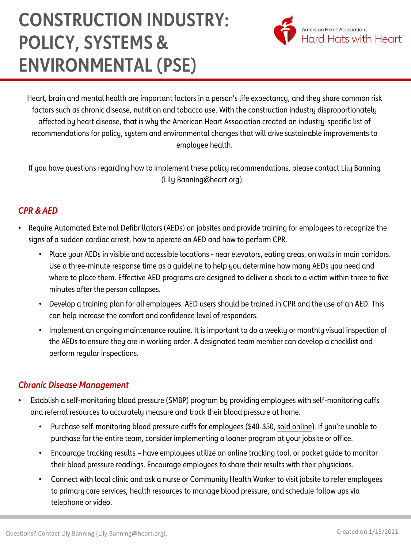# **CONSTRUCTION INDUSTRY: POLICY, SYSTEMS & ENVIRONMENTAL (PSE)**



Heart, brain and mental health are important factors in a person's life expectancy, and they share common risk factors such as chronic disease, nutrition and tobacco use. With the construction industry disproportionately affected by heart disease, that is why the American Heart Association created an industry-specific list of recommendations for policy, system and environmental changes that will drive sustainable improvements to employee health.

If you have questions regarding how to implement these policy recommendations, please contact Lily Banning (Lily.Banning@heart.org).

## *CPR & AED*

- Require Automated External Defibrillators (AEDs) on jobsites and provide training for employees to recognize the signs of a sudden cardiac arrest, how to operate an AED and how to perform CPR.
	- Place your AEDs in visible and accessible locations near elevators, eating areas, on walls in main corridors. Use a three-minute response time as a guideline to help you determine how many AEDs you need and where to place them. Effective AED programs are designed to deliver a shock to a victim within three to five minutes after the person collapses.
	- Develop a training plan for all employees. AED users should be trained in CPR and the use of an AED. This can help increase the comfort and confidence level of responders.
	- Implement an ongoing maintenance routine. It is important to do a weekly or monthly visual inspection of the AEDs to ensure they are in working order. A designated team member can develop a checklist and perform regular inspections.

### *Chronic Disease Management*

- Establish a self-monitoring blood pressure (SMBP) program by providing employees with self-monitoring cuffs and referral resources to accurately measure and track their blood pressure at home.
	- Purchase self-monitoring blood pressure cuffs for employees (\$40-\$50, [sold online](https://www.amazon.com/Pressure-Monitor-Bluetooth-Storesup-Readings-dp-B07RYBKNC2/dp/B07RYBKNC2/ref=dp_ob_title_hpc)). If you're unable to purchase for the entire team, consider implementing a loaner program at your jobsite or office.
	- Encourage tracking results have employees utilize an online tracking tool, or pocket guide to monitor their blood pressure readings. Encourage employees to share their results with their physicians.
	- Connect with local clinic and ask a nurse or Community Health Worker to visit jobsite to refer employees to primary care services, health resources to manage blood pressure, and schedule follow ups via telephone or video.